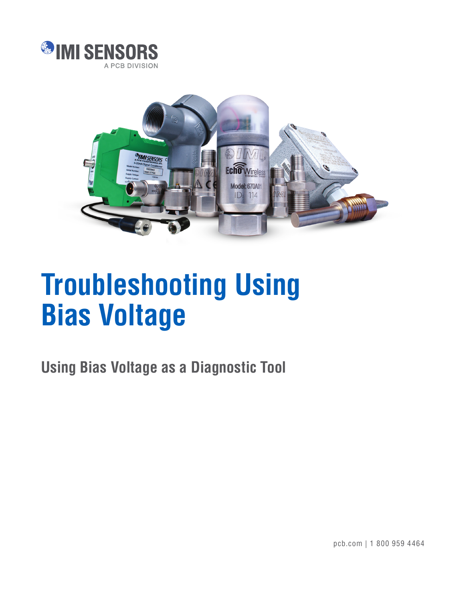



## **Troubleshooting Using Bias Voltage**

**Using Bias Voltage as a Diagnostic Tool**

pcb.com | 1 800 959 4464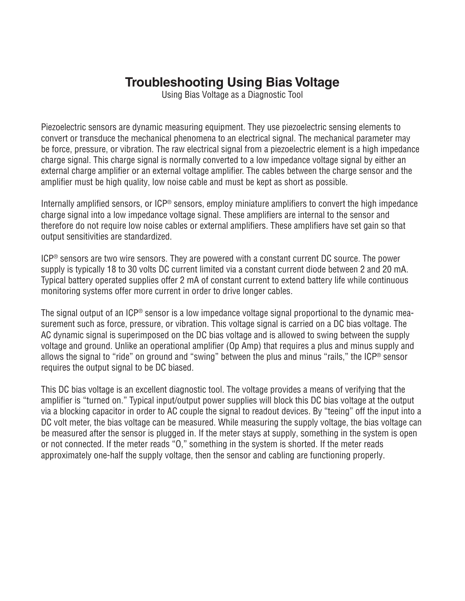## **Troubleshooting Using Bias Voltage**

Using Bias Voltage as a Diagnostic Tool

Piezoelectric sensors are dynamic measuring equipment. They use piezoelectric sensing elements to convert or transduce the mechanical phenomena to an electrical signal. The mechanical parameter may be force, pressure, or vibration. The raw electrical signal from a piezoelectric element is a high impedance charge signal. This charge signal is normally converted to a low impedance voltage signal by either an external charge amplifier or an external voltage amplifier. The cables between the charge sensor and the amplifier must be high quality, low noise cable and must be kept as short as possible.

Internally amplified sensors, or ICP<sup>®</sup> sensors, employ miniature amplifiers to convert the high impedance charge signal into a low impedance voltage signal. These amplifiers are internal to the sensor and therefore do not require low noise cables or external amplifiers. These amplifiers have set gain so that output sensitivities are standardized.

ICP® sensors are two wire sensors. They are powered with a constant current DC source. The power supply is typically 18 to 30 volts DC current limited via a constant current diode between 2 and 20 mA. Typical battery operated supplies offer 2 mA of constant current to extend battery life while continuous monitoring systems offer more current in order to drive longer cables.

The signal output of an ICP® sensor is a low impedance voltage signal proportional to the dynamic measurement such as force, pressure, or vibration. This voltage signal is carried on a DC bias voltage. The AC dynamic signal is superimposed on the DC bias voltage and is allowed to swing between the supply voltage and ground. Unlike an operational amplifier (Op Amp) that requires a plus and minus supply and allows the signal to "ride" on ground and "swing" between the plus and minus "rails," the ICP® sensor requires the output signal to be DC biased.

This DC bias voltage is an excellent diagnostic tool. The voltage provides a means of verifying that the amplifier is "turned on." Typical input/output power supplies will block this DC bias voltage at the output via a blocking capacitor in order to AC couple the signal to readout devices. By "teeing" off the input into a DC volt meter, the bias voltage can be measured. While measuring the supply voltage, the bias voltage can be measured after the sensor is plugged in. If the meter stays at supply, something in the system is open or not connected. If the meter reads "O," something in the system is shorted. If the meter reads approximately one-half the supply voltage, then the sensor and cabling are functioning properly.